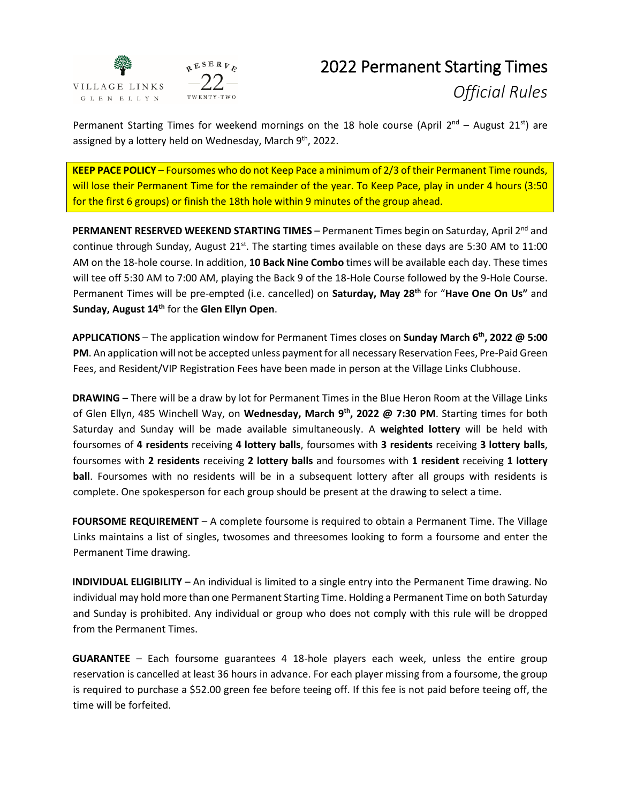

## 2022 Permanent Starting Times *Official Rules*

Permanent Starting Times for weekend mornings on the 18 hole course (April  $2^{nd}$  – August 21<sup>st</sup>) are assigned by a lottery held on Wednesday, March 9<sup>th</sup>, 2022.

**KEEP PACE POLICY** – Foursomes who do not Keep Pace a minimum of 2/3 of their Permanent Time rounds, will lose their Permanent Time for the remainder of the year. To Keep Pace, play in under 4 hours (3:50 for the first 6 groups) or finish the 18th hole within 9 minutes of the group ahead.

PERMANENT RESERVED WEEKEND STARTING TIMES - Permanent Times begin on Saturday, April 2<sup>nd</sup> and continue through Sunday, August  $21^{st}$ . The starting times available on these days are 5:30 AM to 11:00 AM on the 18-hole course. In addition, **10 [Back Nine Combo](http://www.villagelinksgolf.com/Back9Combo.cfm)** [ti](http://www.villagelinksgolf.com/Back9Combo.cfm)mes will be available each day. These times will tee off 5:30 AM to 7:00 AM, playing the Back 9 of the 18-Hole Course followed by the 9-Hole Course. Permanent Times will be pre-empted (i.e. cancelled) on **Saturday, May 28th** for "**Have One On Us"** and **Sunday, August 14 th** for the **Glen Ellyn Open**.

**APPLICATIONS** – The application window for Permanent Times closes on **Sunday March 6 th, 2022 @ 5:00 PM**. An application will not be accepted unless payment for all necessary Reservation Fees, Pre-Paid Green Fees, and Resident/VIP Registration Fees have been made in person at the Village Links Clubhouse.

**DRAWING** – There will be a draw by lot for Permanent Times in the Blue Heron Room at the Village Links of Glen Ellyn, 485 Winchell Way, on **Wednesday, March 9 th, 2022 @ 7:30 PM**. Starting times for both Saturday and Sunday will be made available simultaneously. A **weighted lottery** will be held with foursomes of **4 residents** receiving **4 lottery balls**, foursomes with **3 residents** receiving **3 lottery balls**, foursomes with **2 residents** receiving **2 lottery balls** and foursomes with **1 resident** receiving **1 lottery ball**. Foursomes with no residents will be in a subsequent lottery after all groups with residents is complete. One spokesperson for each group should be present at the drawing to select a time.

**FOURSOME REQUIREMENT** – A complete foursome is required to obtain a Permanent Time. The Village Links maintains a list of singles, twosomes and threesomes looking to form a foursome and enter the Permanent Time drawing.

**INDIVIDUAL ELIGIBILITY** – An individual is limited to a single entry into the Permanent Time drawing. No individual may hold more than one Permanent Starting Time. Holding a Permanent Time on both Saturday and Sunday is prohibited. Any individual or group who does not comply with this rule will be dropped from the Permanent Times.

**GUARANTEE** – Each foursome guarantees 4 18-hole players each week, unless the entire group reservation is cancelled at least 36 hours in advance. For each player missing from a foursome, the group is required to purchase a \$52.00 green fee before teeing off. If this fee is not paid before teeing off, the time will be forfeited.